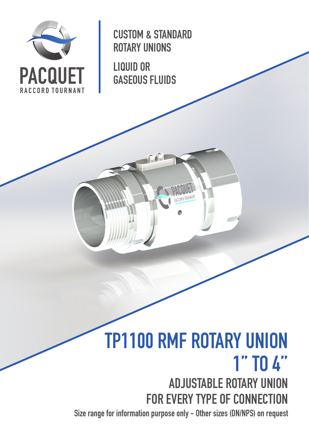

CUSTOM & STANDARD ROTARY UNIONS

LIQUID OR GASEOUS FLUIDS

# TP1100 RMF ROTARY UNION 1'' TO 4'' ADJUSTABLE ROTARY UNION FOR EVERY TYPE OF CONNECTION

Size range for information purpose only - Other sizes (DN/NPS) on request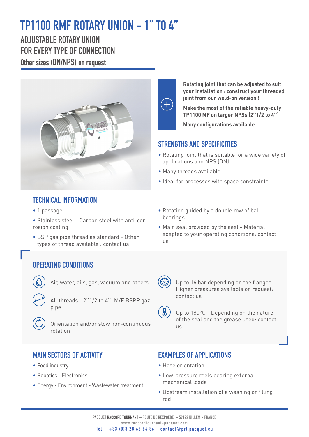# TP1100 RMF ROTARY UNION - 1'' TO 4''

ADJUSTABLE ROTARY UNION FOR EVERY TYPE OF CONNECTION Other sizes (DN/NPS) on request



### TECHNICAL INFORMATION

• 1 passage

• Stainless steel - Carbon steel with anti-corrosion coating

• BSP gas pipe thread as standard - Other types of thread available : contact us

### OPERATING CONDITIONS



Air, water, oils, gas, vacuum and others

All threads - 2''1/2 to 4'': M/F BSPP gaz pipe



 Orientation and/or slow non-continuous rotation

#### MAIN SECTORS OF ACTIVITY

- Food industry
- Robotics Electronics
- Energy Environment Wastewater treatment



**Rotating joint that can be adjusted to suit your installation : construct your threaded joint from our weld-on version !**

**Make the most of the reliable heavy-duty TP1100 MF on larger NPSs (2''1/2 to 4'')**

**Many configurations available**

#### STRENGTHS AND SPECIFICITIES

- Rotating joint that is suitable for a wide variety of applications and NPS (DN)
- Many threads available
- Ideal for processes with space constraints
- Rotation guided by a double row of ball bearings
- Main seal provided by the seal Material adapted to your operating conditions: contact  $\overline{115}$



 Up to 16 bar depending on the flanges - Higher pressures available on request: contact us



 Up to 180°C - Depending on the nature of the seal and the grease used: contact us

#### EXAMPLES OF APPLICATIONS

- Hose orientation
- Low-pressure reels bearing external mechanical loads
- Upstream installation of a washing or filling rod

PACQUET RACCORD TOURNANT – ROUTE DE REXPOËDE – 59122 KILLEM - FRANCE www.raccordtournant-pacquet.com Tél. : +33 (0)3 28 68 86 86 - contact@prt.pacquet.eu